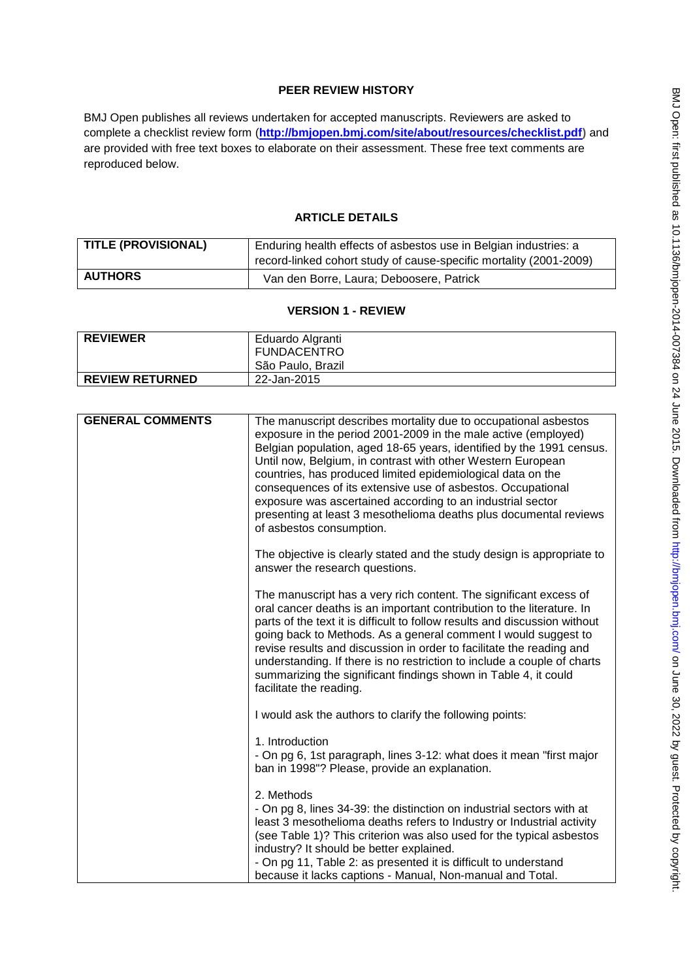# **PEER REVIEW HISTORY**

BMJ Open publishes all reviews undertaken for accepted manuscripts. Reviewers are asked to complete a checklist review form (**[http://bmjopen.bmj.com/site/about/resources/checklist.pdf\)](http://bmjopen.bmj.com/site/about/resources/checklist.pdf)** and are provided with free text boxes to elaborate on their assessment. These free text comments are reproduced below.

## **ARTICLE DETAILS**

| <b>TITLE (PROVISIONAL)</b> | Enduring health effects of asbestos use in Belgian industries: a   |
|----------------------------|--------------------------------------------------------------------|
|                            | record-linked cohort study of cause-specific mortality (2001-2009) |
| <b>AUTHORS</b>             | Van den Borre, Laura; Deboosere, Patrick                           |

## **VERSION 1 - REVIEW**

| <b>REVIEWER</b>        | Eduardo Algranti   |
|------------------------|--------------------|
|                        | <b>FUNDACENTRO</b> |
|                        | São Paulo, Brazil  |
| <b>REVIEW RETURNED</b> | 22-Jan-2015        |

| <b>GENERAL COMMENTS</b> | The manuscript describes mortality due to occupational asbestos<br>exposure in the period 2001-2009 in the male active (employed)<br>Belgian population, aged 18-65 years, identified by the 1991 census.<br>Until now, Belgium, in contrast with other Western European<br>countries, has produced limited epidemiological data on the<br>consequences of its extensive use of asbestos. Occupational<br>exposure was ascertained according to an industrial sector<br>presenting at least 3 mesothelioma deaths plus documental reviews<br>of asbestos consumption. |
|-------------------------|-----------------------------------------------------------------------------------------------------------------------------------------------------------------------------------------------------------------------------------------------------------------------------------------------------------------------------------------------------------------------------------------------------------------------------------------------------------------------------------------------------------------------------------------------------------------------|
|                         | The objective is clearly stated and the study design is appropriate to<br>answer the research questions.                                                                                                                                                                                                                                                                                                                                                                                                                                                              |
|                         | The manuscript has a very rich content. The significant excess of<br>oral cancer deaths is an important contribution to the literature. In<br>parts of the text it is difficult to follow results and discussion without<br>going back to Methods. As a general comment I would suggest to<br>revise results and discussion in order to facilitate the reading and<br>understanding. If there is no restriction to include a couple of charts<br>summarizing the significant findings shown in Table 4, it could<br>facilitate the reading.                           |
|                         | I would ask the authors to clarify the following points:                                                                                                                                                                                                                                                                                                                                                                                                                                                                                                              |
|                         | 1. Introduction<br>- On pg 6, 1st paragraph, lines 3-12: what does it mean "first major<br>ban in 1998"? Please, provide an explanation.                                                                                                                                                                                                                                                                                                                                                                                                                              |
|                         | 2. Methods<br>- On pg 8, lines 34-39: the distinction on industrial sectors with at<br>least 3 mesothelioma deaths refers to Industry or Industrial activity<br>(see Table 1)? This criterion was also used for the typical asbestos<br>industry? It should be better explained.<br>- On pg 11, Table 2: as presented it is difficult to understand<br>because it lacks captions - Manual, Non-manual and Total.                                                                                                                                                      |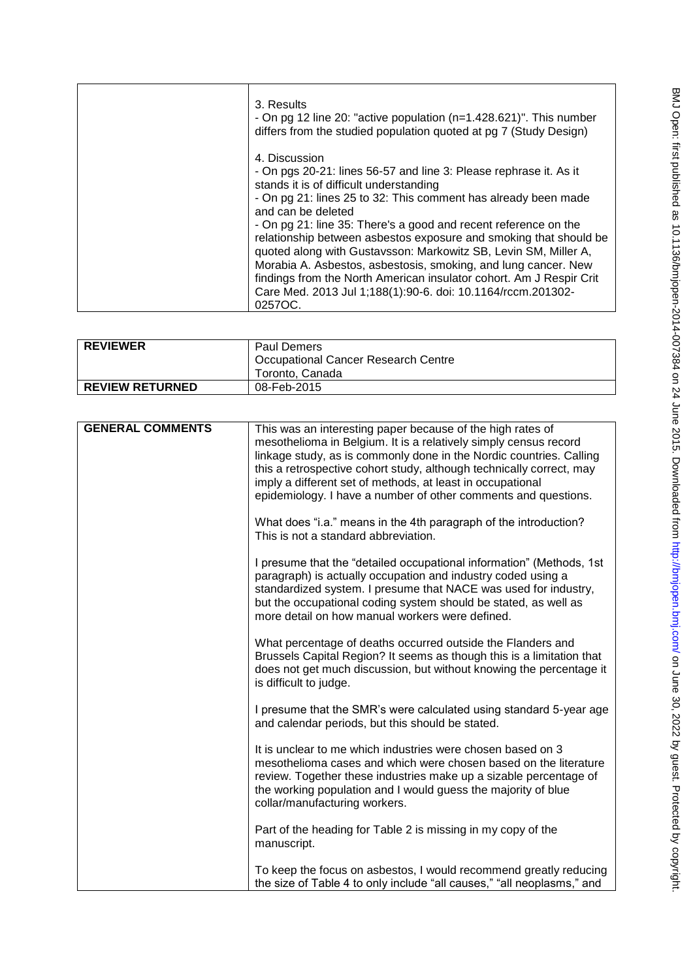| 3. Results<br>- On pg 12 line 20: "active population $(n=1.428.621)$ ". This number<br>differs from the studied population quoted at pg 7 (Study Design)                                                                                                                                                                                                                                                                                                                                                                                                                                                                                            |
|-----------------------------------------------------------------------------------------------------------------------------------------------------------------------------------------------------------------------------------------------------------------------------------------------------------------------------------------------------------------------------------------------------------------------------------------------------------------------------------------------------------------------------------------------------------------------------------------------------------------------------------------------------|
| 4. Discussion<br>- On pgs 20-21: lines 56-57 and line 3: Please rephrase it. As it<br>stands it is of difficult understanding<br>- On pg 21: lines 25 to 32: This comment has already been made<br>and can be deleted<br>- On pg 21: line 35: There's a good and recent reference on the<br>relationship between asbestos exposure and smoking that should be<br>quoted along with Gustavsson: Markowitz SB, Levin SM, Miller A,<br>Morabia A. Asbestos, asbestosis, smoking, and lung cancer. New<br>findings from the North American insulator cohort. Am J Respir Crit<br>Care Med. 2013 Jul 1;188(1):90-6. doi: 10.1164/rccm.201302-<br>0257OC. |

| <b>REVIEWER</b>        | <b>Paul Demers</b><br><b>Occupational Cancer Research Centre</b> |
|------------------------|------------------------------------------------------------------|
|                        | Toronto, Canada                                                  |
| <b>REVIEW RETURNED</b> | 08-Feb-2015                                                      |

| <b>GENERAL COMMENTS</b> | This was an interesting paper because of the high rates of<br>mesothelioma in Belgium. It is a relatively simply census record<br>linkage study, as is commonly done in the Nordic countries. Calling<br>this a retrospective cohort study, although technically correct, may<br>imply a different set of methods, at least in occupational<br>epidemiology. I have a number of other comments and questions. |
|-------------------------|---------------------------------------------------------------------------------------------------------------------------------------------------------------------------------------------------------------------------------------------------------------------------------------------------------------------------------------------------------------------------------------------------------------|
|                         | What does "i.a." means in the 4th paragraph of the introduction?<br>This is not a standard abbreviation.                                                                                                                                                                                                                                                                                                      |
|                         | I presume that the "detailed occupational information" (Methods, 1st<br>paragraph) is actually occupation and industry coded using a<br>standardized system. I presume that NACE was used for industry,<br>but the occupational coding system should be stated, as well as<br>more detail on how manual workers were defined.                                                                                 |
|                         | What percentage of deaths occurred outside the Flanders and<br>Brussels Capital Region? It seems as though this is a limitation that<br>does not get much discussion, but without knowing the percentage it<br>is difficult to judge.                                                                                                                                                                         |
|                         | I presume that the SMR's were calculated using standard 5-year age<br>and calendar periods, but this should be stated.                                                                                                                                                                                                                                                                                        |
|                         | It is unclear to me which industries were chosen based on 3<br>mesothelioma cases and which were chosen based on the literature<br>review. Together these industries make up a sizable percentage of<br>the working population and I would guess the majority of blue<br>collar/manufacturing workers.                                                                                                        |
|                         | Part of the heading for Table 2 is missing in my copy of the<br>manuscript.                                                                                                                                                                                                                                                                                                                                   |
|                         | To keep the focus on asbestos, I would recommend greatly reducing<br>the size of Table 4 to only include "all causes," "all neoplasms," and                                                                                                                                                                                                                                                                   |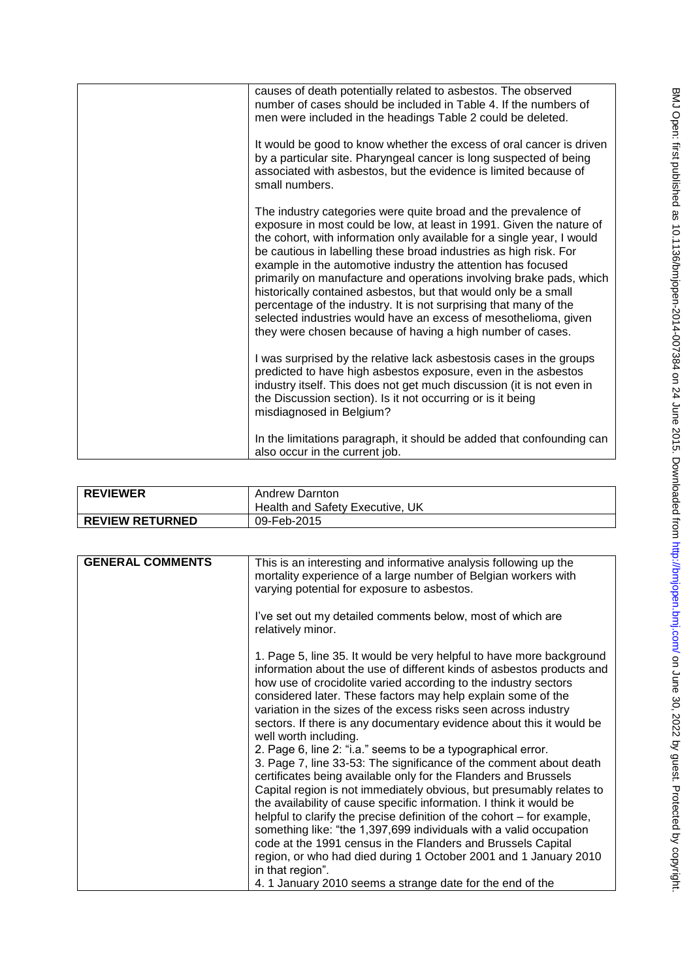| causes of death potentially related to asbestos. The observed<br>number of cases should be included in Table 4. If the numbers of<br>men were included in the headings Table 2 could be deleted.<br>It would be good to know whether the excess of oral cancer is driven<br>by a particular site. Pharyngeal cancer is long suspected of being<br>associated with asbestos, but the evidence is limited because of<br>small numbers.                                                                                                                                                                                                                                                                  |
|-------------------------------------------------------------------------------------------------------------------------------------------------------------------------------------------------------------------------------------------------------------------------------------------------------------------------------------------------------------------------------------------------------------------------------------------------------------------------------------------------------------------------------------------------------------------------------------------------------------------------------------------------------------------------------------------------------|
| The industry categories were quite broad and the prevalence of<br>exposure in most could be low, at least in 1991. Given the nature of<br>the cohort, with information only available for a single year, I would<br>be cautious in labelling these broad industries as high risk. For<br>example in the automotive industry the attention has focused<br>primarily on manufacture and operations involving brake pads, which<br>historically contained asbestos, but that would only be a small<br>percentage of the industry. It is not surprising that many of the<br>selected industries would have an excess of mesothelioma, given<br>they were chosen because of having a high number of cases. |
| I was surprised by the relative lack asbestosis cases in the groups<br>predicted to have high asbestos exposure, even in the asbestos<br>industry itself. This does not get much discussion (it is not even in<br>the Discussion section). Is it not occurring or is it being<br>misdiagnosed in Belgium?                                                                                                                                                                                                                                                                                                                                                                                             |
| In the limitations paragraph, it should be added that confounding can<br>also occur in the current job.                                                                                                                                                                                                                                                                                                                                                                                                                                                                                                                                                                                               |

| <b>REVIEWER</b>        | <b>Andrew Darnton</b><br>Health and Safety Executive, UK |
|------------------------|----------------------------------------------------------|
| <b>REVIEW RETURNED</b> | 09-Feb-2015                                              |

| <b>GENERAL COMMENTS</b> | This is an interesting and informative analysis following up the<br>mortality experience of a large number of Belgian workers with<br>varying potential for exposure to asbestos.                                                                                                                                                                                                                                                                                                                    |
|-------------------------|------------------------------------------------------------------------------------------------------------------------------------------------------------------------------------------------------------------------------------------------------------------------------------------------------------------------------------------------------------------------------------------------------------------------------------------------------------------------------------------------------|
|                         | I've set out my detailed comments below, most of which are<br>relatively minor.                                                                                                                                                                                                                                                                                                                                                                                                                      |
|                         | 1. Page 5, line 35. It would be very helpful to have more background<br>information about the use of different kinds of asbestos products and<br>how use of crocidolite varied according to the industry sectors<br>considered later. These factors may help explain some of the<br>variation in the sizes of the excess risks seen across industry<br>sectors. If there is any documentary evidence about this it would be<br>well worth including.                                                 |
|                         | 2. Page 6, line 2: "i.a." seems to be a typographical error.<br>3. Page 7, line 33-53: The significance of the comment about death<br>certificates being available only for the Flanders and Brussels<br>Capital region is not immediately obvious, but presumably relates to<br>the availability of cause specific information. I think it would be<br>helpful to clarify the precise definition of the cohort – for example,<br>something like: "the 1,397,699 individuals with a valid occupation |
|                         | code at the 1991 census in the Flanders and Brussels Capital<br>region, or who had died during 1 October 2001 and 1 January 2010<br>in that region".<br>4. 1 January 2010 seems a strange date for the end of the                                                                                                                                                                                                                                                                                    |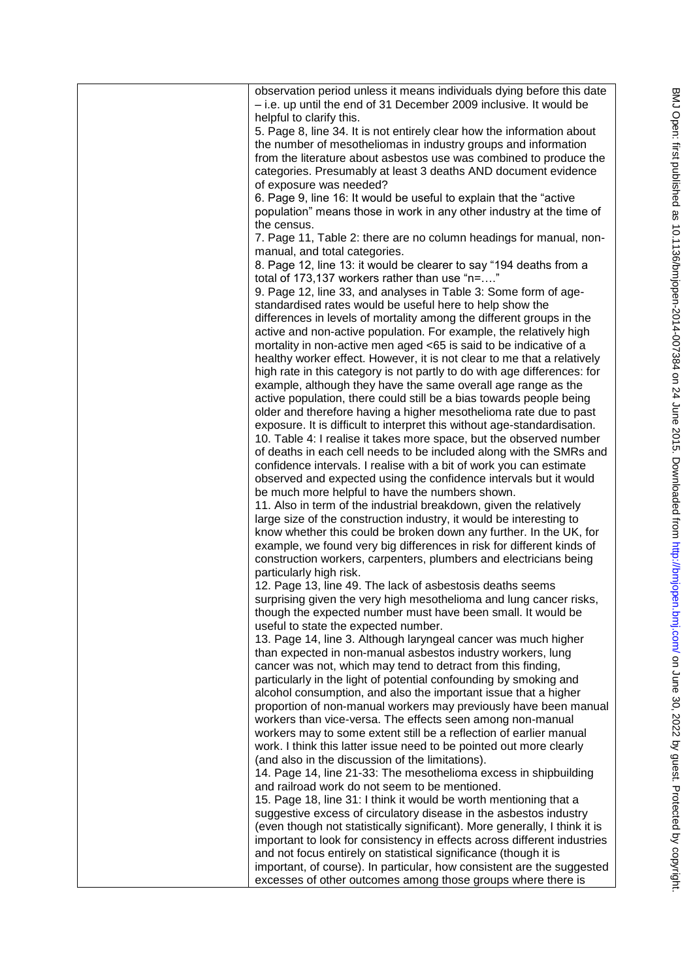| observation period unless it means individuals dying before this date<br>- i.e. up until the end of 31 December 2009 inclusive. It would be<br>helpful to clarify this.<br>5. Page 8, line 34. It is not entirely clear how the information about<br>the number of mesotheliomas in industry groups and information<br>from the literature about asbestos use was combined to produce the<br>categories. Presumably at least 3 deaths AND document evidence<br>of exposure was needed?<br>6. Page 9, line 16: It would be useful to explain that the "active<br>population" means those in work in any other industry at the time of<br>the census.<br>7. Page 11, Table 2: there are no column headings for manual, non-<br>manual, and total categories.<br>8. Page 12, line 13: it would be clearer to say "194 deaths from a<br>total of 173,137 workers rather than use "n="<br>9. Page 12, line 33, and analyses in Table 3: Some form of age-<br>standardised rates would be useful here to help show the<br>differences in levels of mortality among the different groups in the<br>active and non-active population. For example, the relatively high<br>mortality in non-active men aged <65 is said to be indicative of a<br>healthy worker effect. However, it is not clear to me that a relatively<br>high rate in this category is not partly to do with age differences: for<br>example, although they have the same overall age range as the<br>active population, there could still be a bias towards people being<br>older and therefore having a higher mesothelioma rate due to past<br>exposure. It is difficult to interpret this without age-standardisation.<br>10. Table 4: I realise it takes more space, but the observed number<br>of deaths in each cell needs to be included along with the SMRs and<br>confidence intervals. I realise with a bit of work you can estimate<br>observed and expected using the confidence intervals but it would<br>be much more helpful to have the numbers shown.<br>11. Also in term of the industrial breakdown, given the relatively<br>large size of the construction industry, it would be interesting to<br>know whether this could be broken down any further. In the UK, for<br>example, we found very big differences in risk for different kinds of<br>construction workers, carpenters, plumbers and electricians being<br>particularly high risk.<br>12. Page 13, line 49. The lack of asbestosis deaths seems<br>surprising given the very high mesothelioma and lung cancer risks,<br>though the expected number must have been small. It would be<br>useful to state the expected number.<br>13. Page 14, line 3. Although laryngeal cancer was much higher<br>than expected in non-manual asbestos industry workers, lung<br>cancer was not, which may tend to detract from this finding,<br>particularly in the light of potential confounding by smoking and<br>alcohol consumption, and also the important issue that a higher<br>proportion of non-manual workers may previously have been manual<br>workers than vice-versa. The effects seen among non-manual<br>workers may to some extent still be a reflection of earlier manual<br>work. I think this latter issue need to be pointed out more clearly<br>(and also in the discussion of the limitations).<br>14. Page 14, line 21-33: The mesothelioma excess in shipbuilding<br>and railroad work do not seem to be mentioned.<br>15. Page 18, line 31: I think it would be worth mentioning that a<br>suggestive excess of circulatory disease in the asbestos industry<br>(even though not statistically significant). More generally, I think it is<br>important to look for consistency in effects across different industries<br>and not focus entirely on statistical significance (though it is<br>important, of course). In particular, how consistent are the suggested<br>excesses of other outcomes among those groups where there is |  |
|----------------------------------------------------------------------------------------------------------------------------------------------------------------------------------------------------------------------------------------------------------------------------------------------------------------------------------------------------------------------------------------------------------------------------------------------------------------------------------------------------------------------------------------------------------------------------------------------------------------------------------------------------------------------------------------------------------------------------------------------------------------------------------------------------------------------------------------------------------------------------------------------------------------------------------------------------------------------------------------------------------------------------------------------------------------------------------------------------------------------------------------------------------------------------------------------------------------------------------------------------------------------------------------------------------------------------------------------------------------------------------------------------------------------------------------------------------------------------------------------------------------------------------------------------------------------------------------------------------------------------------------------------------------------------------------------------------------------------------------------------------------------------------------------------------------------------------------------------------------------------------------------------------------------------------------------------------------------------------------------------------------------------------------------------------------------------------------------------------------------------------------------------------------------------------------------------------------------------------------------------------------------------------------------------------------------------------------------------------------------------------------------------------------------------------------------------------------------------------------------------------------------------------------------------------------------------------------------------------------------------------------------------------------------------------------------------------------------------------------------------------------------------------------------------------------------------------------------------------------------------------------------------------------------------------------------------------------------------------------------------------------------------------------------------------------------------------------------------------------------------------------------------------------------------------------------------------------------------------------------------------------------------------------------------------------------------------------------------------------------------------------------------------------------------------------------------------------------------------------------------------------------------------------------------------------------------------------------------------------------------------------------------------------------------------------------------------------------------------------------------------------------------------------------------------------------------------------------------------------------------------------------------------------------------------------------------------------------------------------------|--|
|                                                                                                                                                                                                                                                                                                                                                                                                                                                                                                                                                                                                                                                                                                                                                                                                                                                                                                                                                                                                                                                                                                                                                                                                                                                                                                                                                                                                                                                                                                                                                                                                                                                                                                                                                                                                                                                                                                                                                                                                                                                                                                                                                                                                                                                                                                                                                                                                                                                                                                                                                                                                                                                                                                                                                                                                                                                                                                                                                                                                                                                                                                                                                                                                                                                                                                                                                                                                                                                                                                                                                                                                                                                                                                                                                                                                                                                                                                                                                                                              |  |
|                                                                                                                                                                                                                                                                                                                                                                                                                                                                                                                                                                                                                                                                                                                                                                                                                                                                                                                                                                                                                                                                                                                                                                                                                                                                                                                                                                                                                                                                                                                                                                                                                                                                                                                                                                                                                                                                                                                                                                                                                                                                                                                                                                                                                                                                                                                                                                                                                                                                                                                                                                                                                                                                                                                                                                                                                                                                                                                                                                                                                                                                                                                                                                                                                                                                                                                                                                                                                                                                                                                                                                                                                                                                                                                                                                                                                                                                                                                                                                                              |  |
|                                                                                                                                                                                                                                                                                                                                                                                                                                                                                                                                                                                                                                                                                                                                                                                                                                                                                                                                                                                                                                                                                                                                                                                                                                                                                                                                                                                                                                                                                                                                                                                                                                                                                                                                                                                                                                                                                                                                                                                                                                                                                                                                                                                                                                                                                                                                                                                                                                                                                                                                                                                                                                                                                                                                                                                                                                                                                                                                                                                                                                                                                                                                                                                                                                                                                                                                                                                                                                                                                                                                                                                                                                                                                                                                                                                                                                                                                                                                                                                              |  |
|                                                                                                                                                                                                                                                                                                                                                                                                                                                                                                                                                                                                                                                                                                                                                                                                                                                                                                                                                                                                                                                                                                                                                                                                                                                                                                                                                                                                                                                                                                                                                                                                                                                                                                                                                                                                                                                                                                                                                                                                                                                                                                                                                                                                                                                                                                                                                                                                                                                                                                                                                                                                                                                                                                                                                                                                                                                                                                                                                                                                                                                                                                                                                                                                                                                                                                                                                                                                                                                                                                                                                                                                                                                                                                                                                                                                                                                                                                                                                                                              |  |
|                                                                                                                                                                                                                                                                                                                                                                                                                                                                                                                                                                                                                                                                                                                                                                                                                                                                                                                                                                                                                                                                                                                                                                                                                                                                                                                                                                                                                                                                                                                                                                                                                                                                                                                                                                                                                                                                                                                                                                                                                                                                                                                                                                                                                                                                                                                                                                                                                                                                                                                                                                                                                                                                                                                                                                                                                                                                                                                                                                                                                                                                                                                                                                                                                                                                                                                                                                                                                                                                                                                                                                                                                                                                                                                                                                                                                                                                                                                                                                                              |  |
|                                                                                                                                                                                                                                                                                                                                                                                                                                                                                                                                                                                                                                                                                                                                                                                                                                                                                                                                                                                                                                                                                                                                                                                                                                                                                                                                                                                                                                                                                                                                                                                                                                                                                                                                                                                                                                                                                                                                                                                                                                                                                                                                                                                                                                                                                                                                                                                                                                                                                                                                                                                                                                                                                                                                                                                                                                                                                                                                                                                                                                                                                                                                                                                                                                                                                                                                                                                                                                                                                                                                                                                                                                                                                                                                                                                                                                                                                                                                                                                              |  |
|                                                                                                                                                                                                                                                                                                                                                                                                                                                                                                                                                                                                                                                                                                                                                                                                                                                                                                                                                                                                                                                                                                                                                                                                                                                                                                                                                                                                                                                                                                                                                                                                                                                                                                                                                                                                                                                                                                                                                                                                                                                                                                                                                                                                                                                                                                                                                                                                                                                                                                                                                                                                                                                                                                                                                                                                                                                                                                                                                                                                                                                                                                                                                                                                                                                                                                                                                                                                                                                                                                                                                                                                                                                                                                                                                                                                                                                                                                                                                                                              |  |
|                                                                                                                                                                                                                                                                                                                                                                                                                                                                                                                                                                                                                                                                                                                                                                                                                                                                                                                                                                                                                                                                                                                                                                                                                                                                                                                                                                                                                                                                                                                                                                                                                                                                                                                                                                                                                                                                                                                                                                                                                                                                                                                                                                                                                                                                                                                                                                                                                                                                                                                                                                                                                                                                                                                                                                                                                                                                                                                                                                                                                                                                                                                                                                                                                                                                                                                                                                                                                                                                                                                                                                                                                                                                                                                                                                                                                                                                                                                                                                                              |  |
|                                                                                                                                                                                                                                                                                                                                                                                                                                                                                                                                                                                                                                                                                                                                                                                                                                                                                                                                                                                                                                                                                                                                                                                                                                                                                                                                                                                                                                                                                                                                                                                                                                                                                                                                                                                                                                                                                                                                                                                                                                                                                                                                                                                                                                                                                                                                                                                                                                                                                                                                                                                                                                                                                                                                                                                                                                                                                                                                                                                                                                                                                                                                                                                                                                                                                                                                                                                                                                                                                                                                                                                                                                                                                                                                                                                                                                                                                                                                                                                              |  |
|                                                                                                                                                                                                                                                                                                                                                                                                                                                                                                                                                                                                                                                                                                                                                                                                                                                                                                                                                                                                                                                                                                                                                                                                                                                                                                                                                                                                                                                                                                                                                                                                                                                                                                                                                                                                                                                                                                                                                                                                                                                                                                                                                                                                                                                                                                                                                                                                                                                                                                                                                                                                                                                                                                                                                                                                                                                                                                                                                                                                                                                                                                                                                                                                                                                                                                                                                                                                                                                                                                                                                                                                                                                                                                                                                                                                                                                                                                                                                                                              |  |
|                                                                                                                                                                                                                                                                                                                                                                                                                                                                                                                                                                                                                                                                                                                                                                                                                                                                                                                                                                                                                                                                                                                                                                                                                                                                                                                                                                                                                                                                                                                                                                                                                                                                                                                                                                                                                                                                                                                                                                                                                                                                                                                                                                                                                                                                                                                                                                                                                                                                                                                                                                                                                                                                                                                                                                                                                                                                                                                                                                                                                                                                                                                                                                                                                                                                                                                                                                                                                                                                                                                                                                                                                                                                                                                                                                                                                                                                                                                                                                                              |  |
|                                                                                                                                                                                                                                                                                                                                                                                                                                                                                                                                                                                                                                                                                                                                                                                                                                                                                                                                                                                                                                                                                                                                                                                                                                                                                                                                                                                                                                                                                                                                                                                                                                                                                                                                                                                                                                                                                                                                                                                                                                                                                                                                                                                                                                                                                                                                                                                                                                                                                                                                                                                                                                                                                                                                                                                                                                                                                                                                                                                                                                                                                                                                                                                                                                                                                                                                                                                                                                                                                                                                                                                                                                                                                                                                                                                                                                                                                                                                                                                              |  |
|                                                                                                                                                                                                                                                                                                                                                                                                                                                                                                                                                                                                                                                                                                                                                                                                                                                                                                                                                                                                                                                                                                                                                                                                                                                                                                                                                                                                                                                                                                                                                                                                                                                                                                                                                                                                                                                                                                                                                                                                                                                                                                                                                                                                                                                                                                                                                                                                                                                                                                                                                                                                                                                                                                                                                                                                                                                                                                                                                                                                                                                                                                                                                                                                                                                                                                                                                                                                                                                                                                                                                                                                                                                                                                                                                                                                                                                                                                                                                                                              |  |
|                                                                                                                                                                                                                                                                                                                                                                                                                                                                                                                                                                                                                                                                                                                                                                                                                                                                                                                                                                                                                                                                                                                                                                                                                                                                                                                                                                                                                                                                                                                                                                                                                                                                                                                                                                                                                                                                                                                                                                                                                                                                                                                                                                                                                                                                                                                                                                                                                                                                                                                                                                                                                                                                                                                                                                                                                                                                                                                                                                                                                                                                                                                                                                                                                                                                                                                                                                                                                                                                                                                                                                                                                                                                                                                                                                                                                                                                                                                                                                                              |  |
|                                                                                                                                                                                                                                                                                                                                                                                                                                                                                                                                                                                                                                                                                                                                                                                                                                                                                                                                                                                                                                                                                                                                                                                                                                                                                                                                                                                                                                                                                                                                                                                                                                                                                                                                                                                                                                                                                                                                                                                                                                                                                                                                                                                                                                                                                                                                                                                                                                                                                                                                                                                                                                                                                                                                                                                                                                                                                                                                                                                                                                                                                                                                                                                                                                                                                                                                                                                                                                                                                                                                                                                                                                                                                                                                                                                                                                                                                                                                                                                              |  |
|                                                                                                                                                                                                                                                                                                                                                                                                                                                                                                                                                                                                                                                                                                                                                                                                                                                                                                                                                                                                                                                                                                                                                                                                                                                                                                                                                                                                                                                                                                                                                                                                                                                                                                                                                                                                                                                                                                                                                                                                                                                                                                                                                                                                                                                                                                                                                                                                                                                                                                                                                                                                                                                                                                                                                                                                                                                                                                                                                                                                                                                                                                                                                                                                                                                                                                                                                                                                                                                                                                                                                                                                                                                                                                                                                                                                                                                                                                                                                                                              |  |
|                                                                                                                                                                                                                                                                                                                                                                                                                                                                                                                                                                                                                                                                                                                                                                                                                                                                                                                                                                                                                                                                                                                                                                                                                                                                                                                                                                                                                                                                                                                                                                                                                                                                                                                                                                                                                                                                                                                                                                                                                                                                                                                                                                                                                                                                                                                                                                                                                                                                                                                                                                                                                                                                                                                                                                                                                                                                                                                                                                                                                                                                                                                                                                                                                                                                                                                                                                                                                                                                                                                                                                                                                                                                                                                                                                                                                                                                                                                                                                                              |  |
|                                                                                                                                                                                                                                                                                                                                                                                                                                                                                                                                                                                                                                                                                                                                                                                                                                                                                                                                                                                                                                                                                                                                                                                                                                                                                                                                                                                                                                                                                                                                                                                                                                                                                                                                                                                                                                                                                                                                                                                                                                                                                                                                                                                                                                                                                                                                                                                                                                                                                                                                                                                                                                                                                                                                                                                                                                                                                                                                                                                                                                                                                                                                                                                                                                                                                                                                                                                                                                                                                                                                                                                                                                                                                                                                                                                                                                                                                                                                                                                              |  |
|                                                                                                                                                                                                                                                                                                                                                                                                                                                                                                                                                                                                                                                                                                                                                                                                                                                                                                                                                                                                                                                                                                                                                                                                                                                                                                                                                                                                                                                                                                                                                                                                                                                                                                                                                                                                                                                                                                                                                                                                                                                                                                                                                                                                                                                                                                                                                                                                                                                                                                                                                                                                                                                                                                                                                                                                                                                                                                                                                                                                                                                                                                                                                                                                                                                                                                                                                                                                                                                                                                                                                                                                                                                                                                                                                                                                                                                                                                                                                                                              |  |
|                                                                                                                                                                                                                                                                                                                                                                                                                                                                                                                                                                                                                                                                                                                                                                                                                                                                                                                                                                                                                                                                                                                                                                                                                                                                                                                                                                                                                                                                                                                                                                                                                                                                                                                                                                                                                                                                                                                                                                                                                                                                                                                                                                                                                                                                                                                                                                                                                                                                                                                                                                                                                                                                                                                                                                                                                                                                                                                                                                                                                                                                                                                                                                                                                                                                                                                                                                                                                                                                                                                                                                                                                                                                                                                                                                                                                                                                                                                                                                                              |  |
|                                                                                                                                                                                                                                                                                                                                                                                                                                                                                                                                                                                                                                                                                                                                                                                                                                                                                                                                                                                                                                                                                                                                                                                                                                                                                                                                                                                                                                                                                                                                                                                                                                                                                                                                                                                                                                                                                                                                                                                                                                                                                                                                                                                                                                                                                                                                                                                                                                                                                                                                                                                                                                                                                                                                                                                                                                                                                                                                                                                                                                                                                                                                                                                                                                                                                                                                                                                                                                                                                                                                                                                                                                                                                                                                                                                                                                                                                                                                                                                              |  |
|                                                                                                                                                                                                                                                                                                                                                                                                                                                                                                                                                                                                                                                                                                                                                                                                                                                                                                                                                                                                                                                                                                                                                                                                                                                                                                                                                                                                                                                                                                                                                                                                                                                                                                                                                                                                                                                                                                                                                                                                                                                                                                                                                                                                                                                                                                                                                                                                                                                                                                                                                                                                                                                                                                                                                                                                                                                                                                                                                                                                                                                                                                                                                                                                                                                                                                                                                                                                                                                                                                                                                                                                                                                                                                                                                                                                                                                                                                                                                                                              |  |
|                                                                                                                                                                                                                                                                                                                                                                                                                                                                                                                                                                                                                                                                                                                                                                                                                                                                                                                                                                                                                                                                                                                                                                                                                                                                                                                                                                                                                                                                                                                                                                                                                                                                                                                                                                                                                                                                                                                                                                                                                                                                                                                                                                                                                                                                                                                                                                                                                                                                                                                                                                                                                                                                                                                                                                                                                                                                                                                                                                                                                                                                                                                                                                                                                                                                                                                                                                                                                                                                                                                                                                                                                                                                                                                                                                                                                                                                                                                                                                                              |  |
|                                                                                                                                                                                                                                                                                                                                                                                                                                                                                                                                                                                                                                                                                                                                                                                                                                                                                                                                                                                                                                                                                                                                                                                                                                                                                                                                                                                                                                                                                                                                                                                                                                                                                                                                                                                                                                                                                                                                                                                                                                                                                                                                                                                                                                                                                                                                                                                                                                                                                                                                                                                                                                                                                                                                                                                                                                                                                                                                                                                                                                                                                                                                                                                                                                                                                                                                                                                                                                                                                                                                                                                                                                                                                                                                                                                                                                                                                                                                                                                              |  |
|                                                                                                                                                                                                                                                                                                                                                                                                                                                                                                                                                                                                                                                                                                                                                                                                                                                                                                                                                                                                                                                                                                                                                                                                                                                                                                                                                                                                                                                                                                                                                                                                                                                                                                                                                                                                                                                                                                                                                                                                                                                                                                                                                                                                                                                                                                                                                                                                                                                                                                                                                                                                                                                                                                                                                                                                                                                                                                                                                                                                                                                                                                                                                                                                                                                                                                                                                                                                                                                                                                                                                                                                                                                                                                                                                                                                                                                                                                                                                                                              |  |
|                                                                                                                                                                                                                                                                                                                                                                                                                                                                                                                                                                                                                                                                                                                                                                                                                                                                                                                                                                                                                                                                                                                                                                                                                                                                                                                                                                                                                                                                                                                                                                                                                                                                                                                                                                                                                                                                                                                                                                                                                                                                                                                                                                                                                                                                                                                                                                                                                                                                                                                                                                                                                                                                                                                                                                                                                                                                                                                                                                                                                                                                                                                                                                                                                                                                                                                                                                                                                                                                                                                                                                                                                                                                                                                                                                                                                                                                                                                                                                                              |  |
|                                                                                                                                                                                                                                                                                                                                                                                                                                                                                                                                                                                                                                                                                                                                                                                                                                                                                                                                                                                                                                                                                                                                                                                                                                                                                                                                                                                                                                                                                                                                                                                                                                                                                                                                                                                                                                                                                                                                                                                                                                                                                                                                                                                                                                                                                                                                                                                                                                                                                                                                                                                                                                                                                                                                                                                                                                                                                                                                                                                                                                                                                                                                                                                                                                                                                                                                                                                                                                                                                                                                                                                                                                                                                                                                                                                                                                                                                                                                                                                              |  |
|                                                                                                                                                                                                                                                                                                                                                                                                                                                                                                                                                                                                                                                                                                                                                                                                                                                                                                                                                                                                                                                                                                                                                                                                                                                                                                                                                                                                                                                                                                                                                                                                                                                                                                                                                                                                                                                                                                                                                                                                                                                                                                                                                                                                                                                                                                                                                                                                                                                                                                                                                                                                                                                                                                                                                                                                                                                                                                                                                                                                                                                                                                                                                                                                                                                                                                                                                                                                                                                                                                                                                                                                                                                                                                                                                                                                                                                                                                                                                                                              |  |
|                                                                                                                                                                                                                                                                                                                                                                                                                                                                                                                                                                                                                                                                                                                                                                                                                                                                                                                                                                                                                                                                                                                                                                                                                                                                                                                                                                                                                                                                                                                                                                                                                                                                                                                                                                                                                                                                                                                                                                                                                                                                                                                                                                                                                                                                                                                                                                                                                                                                                                                                                                                                                                                                                                                                                                                                                                                                                                                                                                                                                                                                                                                                                                                                                                                                                                                                                                                                                                                                                                                                                                                                                                                                                                                                                                                                                                                                                                                                                                                              |  |
|                                                                                                                                                                                                                                                                                                                                                                                                                                                                                                                                                                                                                                                                                                                                                                                                                                                                                                                                                                                                                                                                                                                                                                                                                                                                                                                                                                                                                                                                                                                                                                                                                                                                                                                                                                                                                                                                                                                                                                                                                                                                                                                                                                                                                                                                                                                                                                                                                                                                                                                                                                                                                                                                                                                                                                                                                                                                                                                                                                                                                                                                                                                                                                                                                                                                                                                                                                                                                                                                                                                                                                                                                                                                                                                                                                                                                                                                                                                                                                                              |  |
|                                                                                                                                                                                                                                                                                                                                                                                                                                                                                                                                                                                                                                                                                                                                                                                                                                                                                                                                                                                                                                                                                                                                                                                                                                                                                                                                                                                                                                                                                                                                                                                                                                                                                                                                                                                                                                                                                                                                                                                                                                                                                                                                                                                                                                                                                                                                                                                                                                                                                                                                                                                                                                                                                                                                                                                                                                                                                                                                                                                                                                                                                                                                                                                                                                                                                                                                                                                                                                                                                                                                                                                                                                                                                                                                                                                                                                                                                                                                                                                              |  |
|                                                                                                                                                                                                                                                                                                                                                                                                                                                                                                                                                                                                                                                                                                                                                                                                                                                                                                                                                                                                                                                                                                                                                                                                                                                                                                                                                                                                                                                                                                                                                                                                                                                                                                                                                                                                                                                                                                                                                                                                                                                                                                                                                                                                                                                                                                                                                                                                                                                                                                                                                                                                                                                                                                                                                                                                                                                                                                                                                                                                                                                                                                                                                                                                                                                                                                                                                                                                                                                                                                                                                                                                                                                                                                                                                                                                                                                                                                                                                                                              |  |
|                                                                                                                                                                                                                                                                                                                                                                                                                                                                                                                                                                                                                                                                                                                                                                                                                                                                                                                                                                                                                                                                                                                                                                                                                                                                                                                                                                                                                                                                                                                                                                                                                                                                                                                                                                                                                                                                                                                                                                                                                                                                                                                                                                                                                                                                                                                                                                                                                                                                                                                                                                                                                                                                                                                                                                                                                                                                                                                                                                                                                                                                                                                                                                                                                                                                                                                                                                                                                                                                                                                                                                                                                                                                                                                                                                                                                                                                                                                                                                                              |  |
|                                                                                                                                                                                                                                                                                                                                                                                                                                                                                                                                                                                                                                                                                                                                                                                                                                                                                                                                                                                                                                                                                                                                                                                                                                                                                                                                                                                                                                                                                                                                                                                                                                                                                                                                                                                                                                                                                                                                                                                                                                                                                                                                                                                                                                                                                                                                                                                                                                                                                                                                                                                                                                                                                                                                                                                                                                                                                                                                                                                                                                                                                                                                                                                                                                                                                                                                                                                                                                                                                                                                                                                                                                                                                                                                                                                                                                                                                                                                                                                              |  |
|                                                                                                                                                                                                                                                                                                                                                                                                                                                                                                                                                                                                                                                                                                                                                                                                                                                                                                                                                                                                                                                                                                                                                                                                                                                                                                                                                                                                                                                                                                                                                                                                                                                                                                                                                                                                                                                                                                                                                                                                                                                                                                                                                                                                                                                                                                                                                                                                                                                                                                                                                                                                                                                                                                                                                                                                                                                                                                                                                                                                                                                                                                                                                                                                                                                                                                                                                                                                                                                                                                                                                                                                                                                                                                                                                                                                                                                                                                                                                                                              |  |
|                                                                                                                                                                                                                                                                                                                                                                                                                                                                                                                                                                                                                                                                                                                                                                                                                                                                                                                                                                                                                                                                                                                                                                                                                                                                                                                                                                                                                                                                                                                                                                                                                                                                                                                                                                                                                                                                                                                                                                                                                                                                                                                                                                                                                                                                                                                                                                                                                                                                                                                                                                                                                                                                                                                                                                                                                                                                                                                                                                                                                                                                                                                                                                                                                                                                                                                                                                                                                                                                                                                                                                                                                                                                                                                                                                                                                                                                                                                                                                                              |  |
|                                                                                                                                                                                                                                                                                                                                                                                                                                                                                                                                                                                                                                                                                                                                                                                                                                                                                                                                                                                                                                                                                                                                                                                                                                                                                                                                                                                                                                                                                                                                                                                                                                                                                                                                                                                                                                                                                                                                                                                                                                                                                                                                                                                                                                                                                                                                                                                                                                                                                                                                                                                                                                                                                                                                                                                                                                                                                                                                                                                                                                                                                                                                                                                                                                                                                                                                                                                                                                                                                                                                                                                                                                                                                                                                                                                                                                                                                                                                                                                              |  |
|                                                                                                                                                                                                                                                                                                                                                                                                                                                                                                                                                                                                                                                                                                                                                                                                                                                                                                                                                                                                                                                                                                                                                                                                                                                                                                                                                                                                                                                                                                                                                                                                                                                                                                                                                                                                                                                                                                                                                                                                                                                                                                                                                                                                                                                                                                                                                                                                                                                                                                                                                                                                                                                                                                                                                                                                                                                                                                                                                                                                                                                                                                                                                                                                                                                                                                                                                                                                                                                                                                                                                                                                                                                                                                                                                                                                                                                                                                                                                                                              |  |
|                                                                                                                                                                                                                                                                                                                                                                                                                                                                                                                                                                                                                                                                                                                                                                                                                                                                                                                                                                                                                                                                                                                                                                                                                                                                                                                                                                                                                                                                                                                                                                                                                                                                                                                                                                                                                                                                                                                                                                                                                                                                                                                                                                                                                                                                                                                                                                                                                                                                                                                                                                                                                                                                                                                                                                                                                                                                                                                                                                                                                                                                                                                                                                                                                                                                                                                                                                                                                                                                                                                                                                                                                                                                                                                                                                                                                                                                                                                                                                                              |  |
|                                                                                                                                                                                                                                                                                                                                                                                                                                                                                                                                                                                                                                                                                                                                                                                                                                                                                                                                                                                                                                                                                                                                                                                                                                                                                                                                                                                                                                                                                                                                                                                                                                                                                                                                                                                                                                                                                                                                                                                                                                                                                                                                                                                                                                                                                                                                                                                                                                                                                                                                                                                                                                                                                                                                                                                                                                                                                                                                                                                                                                                                                                                                                                                                                                                                                                                                                                                                                                                                                                                                                                                                                                                                                                                                                                                                                                                                                                                                                                                              |  |
|                                                                                                                                                                                                                                                                                                                                                                                                                                                                                                                                                                                                                                                                                                                                                                                                                                                                                                                                                                                                                                                                                                                                                                                                                                                                                                                                                                                                                                                                                                                                                                                                                                                                                                                                                                                                                                                                                                                                                                                                                                                                                                                                                                                                                                                                                                                                                                                                                                                                                                                                                                                                                                                                                                                                                                                                                                                                                                                                                                                                                                                                                                                                                                                                                                                                                                                                                                                                                                                                                                                                                                                                                                                                                                                                                                                                                                                                                                                                                                                              |  |
|                                                                                                                                                                                                                                                                                                                                                                                                                                                                                                                                                                                                                                                                                                                                                                                                                                                                                                                                                                                                                                                                                                                                                                                                                                                                                                                                                                                                                                                                                                                                                                                                                                                                                                                                                                                                                                                                                                                                                                                                                                                                                                                                                                                                                                                                                                                                                                                                                                                                                                                                                                                                                                                                                                                                                                                                                                                                                                                                                                                                                                                                                                                                                                                                                                                                                                                                                                                                                                                                                                                                                                                                                                                                                                                                                                                                                                                                                                                                                                                              |  |
|                                                                                                                                                                                                                                                                                                                                                                                                                                                                                                                                                                                                                                                                                                                                                                                                                                                                                                                                                                                                                                                                                                                                                                                                                                                                                                                                                                                                                                                                                                                                                                                                                                                                                                                                                                                                                                                                                                                                                                                                                                                                                                                                                                                                                                                                                                                                                                                                                                                                                                                                                                                                                                                                                                                                                                                                                                                                                                                                                                                                                                                                                                                                                                                                                                                                                                                                                                                                                                                                                                                                                                                                                                                                                                                                                                                                                                                                                                                                                                                              |  |
|                                                                                                                                                                                                                                                                                                                                                                                                                                                                                                                                                                                                                                                                                                                                                                                                                                                                                                                                                                                                                                                                                                                                                                                                                                                                                                                                                                                                                                                                                                                                                                                                                                                                                                                                                                                                                                                                                                                                                                                                                                                                                                                                                                                                                                                                                                                                                                                                                                                                                                                                                                                                                                                                                                                                                                                                                                                                                                                                                                                                                                                                                                                                                                                                                                                                                                                                                                                                                                                                                                                                                                                                                                                                                                                                                                                                                                                                                                                                                                                              |  |
|                                                                                                                                                                                                                                                                                                                                                                                                                                                                                                                                                                                                                                                                                                                                                                                                                                                                                                                                                                                                                                                                                                                                                                                                                                                                                                                                                                                                                                                                                                                                                                                                                                                                                                                                                                                                                                                                                                                                                                                                                                                                                                                                                                                                                                                                                                                                                                                                                                                                                                                                                                                                                                                                                                                                                                                                                                                                                                                                                                                                                                                                                                                                                                                                                                                                                                                                                                                                                                                                                                                                                                                                                                                                                                                                                                                                                                                                                                                                                                                              |  |
|                                                                                                                                                                                                                                                                                                                                                                                                                                                                                                                                                                                                                                                                                                                                                                                                                                                                                                                                                                                                                                                                                                                                                                                                                                                                                                                                                                                                                                                                                                                                                                                                                                                                                                                                                                                                                                                                                                                                                                                                                                                                                                                                                                                                                                                                                                                                                                                                                                                                                                                                                                                                                                                                                                                                                                                                                                                                                                                                                                                                                                                                                                                                                                                                                                                                                                                                                                                                                                                                                                                                                                                                                                                                                                                                                                                                                                                                                                                                                                                              |  |
|                                                                                                                                                                                                                                                                                                                                                                                                                                                                                                                                                                                                                                                                                                                                                                                                                                                                                                                                                                                                                                                                                                                                                                                                                                                                                                                                                                                                                                                                                                                                                                                                                                                                                                                                                                                                                                                                                                                                                                                                                                                                                                                                                                                                                                                                                                                                                                                                                                                                                                                                                                                                                                                                                                                                                                                                                                                                                                                                                                                                                                                                                                                                                                                                                                                                                                                                                                                                                                                                                                                                                                                                                                                                                                                                                                                                                                                                                                                                                                                              |  |
|                                                                                                                                                                                                                                                                                                                                                                                                                                                                                                                                                                                                                                                                                                                                                                                                                                                                                                                                                                                                                                                                                                                                                                                                                                                                                                                                                                                                                                                                                                                                                                                                                                                                                                                                                                                                                                                                                                                                                                                                                                                                                                                                                                                                                                                                                                                                                                                                                                                                                                                                                                                                                                                                                                                                                                                                                                                                                                                                                                                                                                                                                                                                                                                                                                                                                                                                                                                                                                                                                                                                                                                                                                                                                                                                                                                                                                                                                                                                                                                              |  |
|                                                                                                                                                                                                                                                                                                                                                                                                                                                                                                                                                                                                                                                                                                                                                                                                                                                                                                                                                                                                                                                                                                                                                                                                                                                                                                                                                                                                                                                                                                                                                                                                                                                                                                                                                                                                                                                                                                                                                                                                                                                                                                                                                                                                                                                                                                                                                                                                                                                                                                                                                                                                                                                                                                                                                                                                                                                                                                                                                                                                                                                                                                                                                                                                                                                                                                                                                                                                                                                                                                                                                                                                                                                                                                                                                                                                                                                                                                                                                                                              |  |
|                                                                                                                                                                                                                                                                                                                                                                                                                                                                                                                                                                                                                                                                                                                                                                                                                                                                                                                                                                                                                                                                                                                                                                                                                                                                                                                                                                                                                                                                                                                                                                                                                                                                                                                                                                                                                                                                                                                                                                                                                                                                                                                                                                                                                                                                                                                                                                                                                                                                                                                                                                                                                                                                                                                                                                                                                                                                                                                                                                                                                                                                                                                                                                                                                                                                                                                                                                                                                                                                                                                                                                                                                                                                                                                                                                                                                                                                                                                                                                                              |  |
|                                                                                                                                                                                                                                                                                                                                                                                                                                                                                                                                                                                                                                                                                                                                                                                                                                                                                                                                                                                                                                                                                                                                                                                                                                                                                                                                                                                                                                                                                                                                                                                                                                                                                                                                                                                                                                                                                                                                                                                                                                                                                                                                                                                                                                                                                                                                                                                                                                                                                                                                                                                                                                                                                                                                                                                                                                                                                                                                                                                                                                                                                                                                                                                                                                                                                                                                                                                                                                                                                                                                                                                                                                                                                                                                                                                                                                                                                                                                                                                              |  |
|                                                                                                                                                                                                                                                                                                                                                                                                                                                                                                                                                                                                                                                                                                                                                                                                                                                                                                                                                                                                                                                                                                                                                                                                                                                                                                                                                                                                                                                                                                                                                                                                                                                                                                                                                                                                                                                                                                                                                                                                                                                                                                                                                                                                                                                                                                                                                                                                                                                                                                                                                                                                                                                                                                                                                                                                                                                                                                                                                                                                                                                                                                                                                                                                                                                                                                                                                                                                                                                                                                                                                                                                                                                                                                                                                                                                                                                                                                                                                                                              |  |
|                                                                                                                                                                                                                                                                                                                                                                                                                                                                                                                                                                                                                                                                                                                                                                                                                                                                                                                                                                                                                                                                                                                                                                                                                                                                                                                                                                                                                                                                                                                                                                                                                                                                                                                                                                                                                                                                                                                                                                                                                                                                                                                                                                                                                                                                                                                                                                                                                                                                                                                                                                                                                                                                                                                                                                                                                                                                                                                                                                                                                                                                                                                                                                                                                                                                                                                                                                                                                                                                                                                                                                                                                                                                                                                                                                                                                                                                                                                                                                                              |  |
|                                                                                                                                                                                                                                                                                                                                                                                                                                                                                                                                                                                                                                                                                                                                                                                                                                                                                                                                                                                                                                                                                                                                                                                                                                                                                                                                                                                                                                                                                                                                                                                                                                                                                                                                                                                                                                                                                                                                                                                                                                                                                                                                                                                                                                                                                                                                                                                                                                                                                                                                                                                                                                                                                                                                                                                                                                                                                                                                                                                                                                                                                                                                                                                                                                                                                                                                                                                                                                                                                                                                                                                                                                                                                                                                                                                                                                                                                                                                                                                              |  |
|                                                                                                                                                                                                                                                                                                                                                                                                                                                                                                                                                                                                                                                                                                                                                                                                                                                                                                                                                                                                                                                                                                                                                                                                                                                                                                                                                                                                                                                                                                                                                                                                                                                                                                                                                                                                                                                                                                                                                                                                                                                                                                                                                                                                                                                                                                                                                                                                                                                                                                                                                                                                                                                                                                                                                                                                                                                                                                                                                                                                                                                                                                                                                                                                                                                                                                                                                                                                                                                                                                                                                                                                                                                                                                                                                                                                                                                                                                                                                                                              |  |
|                                                                                                                                                                                                                                                                                                                                                                                                                                                                                                                                                                                                                                                                                                                                                                                                                                                                                                                                                                                                                                                                                                                                                                                                                                                                                                                                                                                                                                                                                                                                                                                                                                                                                                                                                                                                                                                                                                                                                                                                                                                                                                                                                                                                                                                                                                                                                                                                                                                                                                                                                                                                                                                                                                                                                                                                                                                                                                                                                                                                                                                                                                                                                                                                                                                                                                                                                                                                                                                                                                                                                                                                                                                                                                                                                                                                                                                                                                                                                                                              |  |
|                                                                                                                                                                                                                                                                                                                                                                                                                                                                                                                                                                                                                                                                                                                                                                                                                                                                                                                                                                                                                                                                                                                                                                                                                                                                                                                                                                                                                                                                                                                                                                                                                                                                                                                                                                                                                                                                                                                                                                                                                                                                                                                                                                                                                                                                                                                                                                                                                                                                                                                                                                                                                                                                                                                                                                                                                                                                                                                                                                                                                                                                                                                                                                                                                                                                                                                                                                                                                                                                                                                                                                                                                                                                                                                                                                                                                                                                                                                                                                                              |  |
|                                                                                                                                                                                                                                                                                                                                                                                                                                                                                                                                                                                                                                                                                                                                                                                                                                                                                                                                                                                                                                                                                                                                                                                                                                                                                                                                                                                                                                                                                                                                                                                                                                                                                                                                                                                                                                                                                                                                                                                                                                                                                                                                                                                                                                                                                                                                                                                                                                                                                                                                                                                                                                                                                                                                                                                                                                                                                                                                                                                                                                                                                                                                                                                                                                                                                                                                                                                                                                                                                                                                                                                                                                                                                                                                                                                                                                                                                                                                                                                              |  |
|                                                                                                                                                                                                                                                                                                                                                                                                                                                                                                                                                                                                                                                                                                                                                                                                                                                                                                                                                                                                                                                                                                                                                                                                                                                                                                                                                                                                                                                                                                                                                                                                                                                                                                                                                                                                                                                                                                                                                                                                                                                                                                                                                                                                                                                                                                                                                                                                                                                                                                                                                                                                                                                                                                                                                                                                                                                                                                                                                                                                                                                                                                                                                                                                                                                                                                                                                                                                                                                                                                                                                                                                                                                                                                                                                                                                                                                                                                                                                                                              |  |
|                                                                                                                                                                                                                                                                                                                                                                                                                                                                                                                                                                                                                                                                                                                                                                                                                                                                                                                                                                                                                                                                                                                                                                                                                                                                                                                                                                                                                                                                                                                                                                                                                                                                                                                                                                                                                                                                                                                                                                                                                                                                                                                                                                                                                                                                                                                                                                                                                                                                                                                                                                                                                                                                                                                                                                                                                                                                                                                                                                                                                                                                                                                                                                                                                                                                                                                                                                                                                                                                                                                                                                                                                                                                                                                                                                                                                                                                                                                                                                                              |  |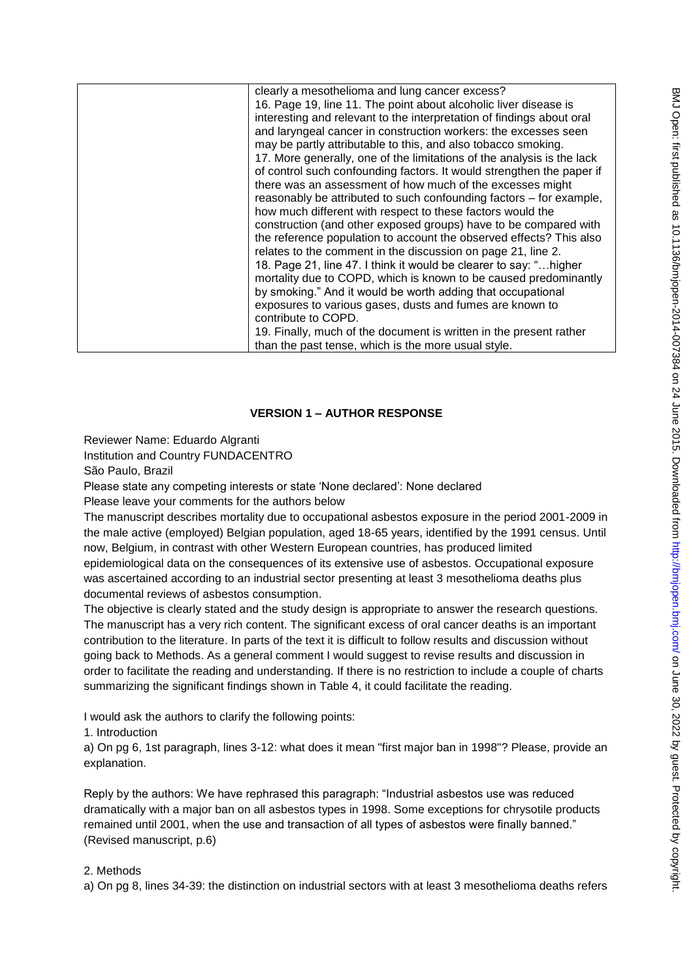| clearly a mesothelioma and lung cancer excess?                         |
|------------------------------------------------------------------------|
| 16. Page 19, line 11. The point about alcoholic liver disease is       |
| interesting and relevant to the interpretation of findings about oral  |
| and laryngeal cancer in construction workers: the excesses seen        |
| may be partly attributable to this, and also tobacco smoking.          |
| 17. More generally, one of the limitations of the analysis is the lack |
| of control such confounding factors. It would strengthen the paper if  |
| there was an assessment of how much of the excesses might              |
| reasonably be attributed to such confounding factors – for example,    |
| how much different with respect to these factors would the             |
| construction (and other exposed groups) have to be compared with       |
| the reference population to account the observed effects? This also    |
| relates to the comment in the discussion on page 21, line 2.           |
| 18. Page 21, line 47. I think it would be clearer to say: " higher     |
| mortality due to COPD, which is known to be caused predominantly       |
| by smoking." And it would be worth adding that occupational            |
| exposures to various gases, dusts and fumes are known to               |
| contribute to COPD.                                                    |
| 19. Finally, much of the document is written in the present rather     |
| than the past tense, which is the more usual style.                    |

# **VERSION 1 – AUTHOR RESPONSE**

Reviewer Name: Eduardo Algranti

Institution and Country FUNDACENTRO

São Paulo, Brazil

Please state any competing interests or state 'None declared': None declared Please leave your comments for the authors below

The manuscript describes mortality due to occupational asbestos exposure in the period 2001-2009 in the male active (employed) Belgian population, aged 18-65 years, identified by the 1991 census. Until now, Belgium, in contrast with other Western European countries, has produced limited

epidemiological data on the consequences of its extensive use of asbestos. Occupational exposure was ascertained according to an industrial sector presenting at least 3 mesothelioma deaths plus documental reviews of asbestos consumption.

The objective is clearly stated and the study design is appropriate to answer the research questions. The manuscript has a very rich content. The significant excess of oral cancer deaths is an important contribution to the literature. In parts of the text it is difficult to follow results and discussion without going back to Methods. As a general comment I would suggest to revise results and discussion in order to facilitate the reading and understanding. If there is no restriction to include a couple of charts summarizing the significant findings shown in Table 4, it could facilitate the reading.

I would ask the authors to clarify the following points:

1. Introduction

a) On pg 6, 1st paragraph, lines 3-12: what does it mean "first major ban in 1998"? Please, provide an explanation.

Reply by the authors: We have rephrased this paragraph: "Industrial asbestos use was reduced dramatically with a major ban on all asbestos types in 1998. Some exceptions for chrysotile products remained until 2001, when the use and transaction of all types of asbestos were finally banned." (Revised manuscript, p.6)

## 2. Methods

a) On pg 8, lines 34-39: the distinction on industrial sectors with at least 3 mesothelioma deaths refers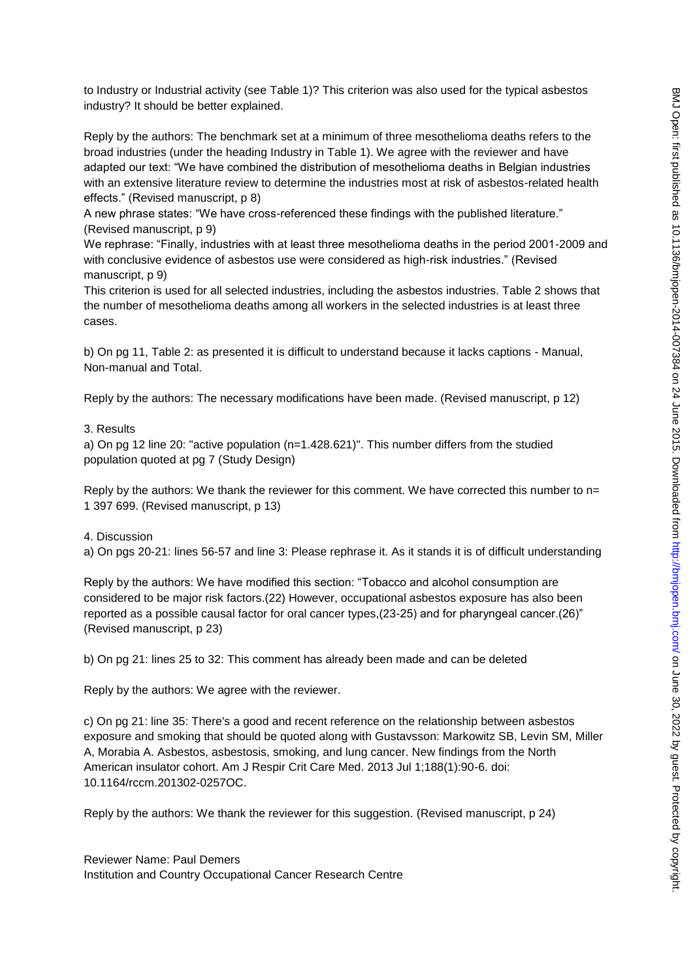to Industry or Industrial activity (see Table 1)? This criterion was also used for the typical asbestos industry? It should be better explained.

Reply by the authors: The benchmark set at a minimum of three mesothelioma deaths refers to the broad industries (under the heading Industry in Table 1). We agree with the reviewer and have adapted our text: "We have combined the distribution of mesothelioma deaths in Belgian industries with an extensive literature review to determine the industries most at risk of asbestos-related health effects." (Revised manuscript, p 8)

A new phrase states: "We have cross-referenced these findings with the published literature." (Revised manuscript, p 9)

We rephrase: "Finally, industries with at least three mesothelioma deaths in the period 2001-2009 and with conclusive evidence of asbestos use were considered as high-risk industries." (Revised manuscript, p 9)

This criterion is used for all selected industries, including the asbestos industries. Table 2 shows that the number of mesothelioma deaths among all workers in the selected industries is at least three cases.

b) On pg 11, Table 2: as presented it is difficult to understand because it lacks captions - Manual, Non-manual and Total.

Reply by the authors: The necessary modifications have been made. (Revised manuscript, p 12)

3. Results

a) On pg 12 line 20: "active population (n=1.428.621)". This number differs from the studied population quoted at pg 7 (Study Design)

Reply by the authors: We thank the reviewer for this comment. We have corrected this number to  $n=$ 1 397 699. (Revised manuscript, p 13)

4. Discussion

a) On pgs 20-21: lines 56-57 and line 3: Please rephrase it. As it stands it is of difficult understanding

Reply by the authors: We have modified this section: "Tobacco and alcohol consumption are considered to be major risk factors.(22) However, occupational asbestos exposure has also been reported as a possible causal factor for oral cancer types,(23-25) and for pharyngeal cancer.(26)" (Revised manuscript, p 23)

b) On pg 21: lines 25 to 32: This comment has already been made and can be deleted

Reply by the authors: We agree with the reviewer.

c) On pg 21: line 35: There's a good and recent reference on the relationship between asbestos exposure and smoking that should be quoted along with Gustavsson: Markowitz SB, Levin SM, Miller A, Morabia A. Asbestos, asbestosis, smoking, and lung cancer. New findings from the North American insulator cohort. Am J Respir Crit Care Med. 2013 Jul 1;188(1):90-6. doi: 10.1164/rccm.201302-0257OC.

Reply by the authors: We thank the reviewer for this suggestion. (Revised manuscript, p 24)

Reviewer Name: Paul Demers Institution and Country Occupational Cancer Research Centre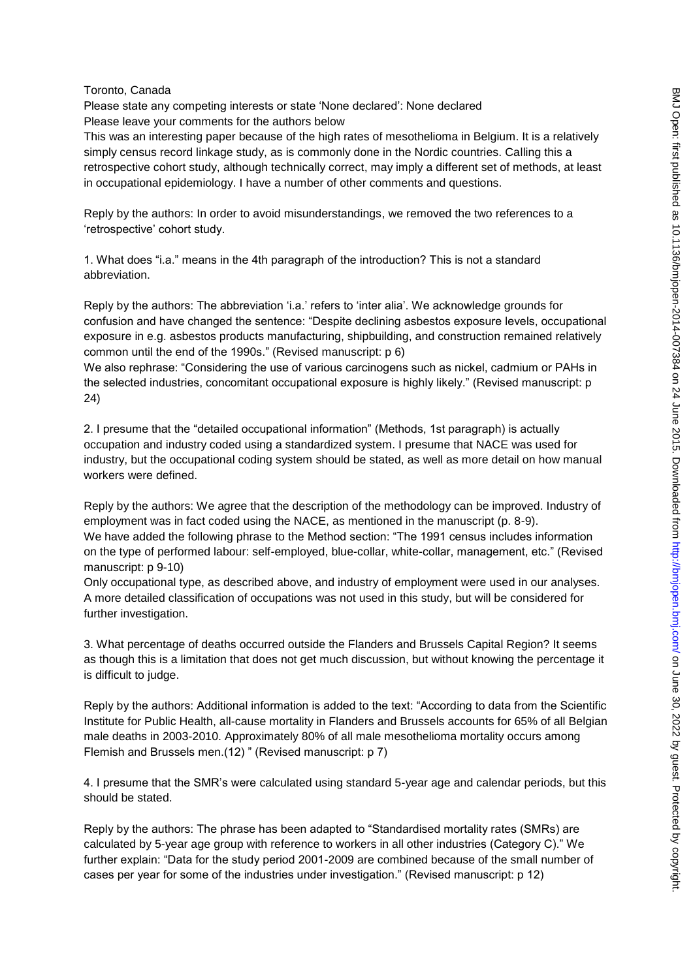#### Toronto, Canada

Please state any competing interests or state 'None declared': None declared Please leave your comments for the authors below

This was an interesting paper because of the high rates of mesothelioma in Belgium. It is a relatively simply census record linkage study, as is commonly done in the Nordic countries. Calling this a retrospective cohort study, although technically correct, may imply a different set of methods, at least in occupational epidemiology. I have a number of other comments and questions.

Reply by the authors: In order to avoid misunderstandings, we removed the two references to a 'retrospective' cohort study.

1. What does "i.a." means in the 4th paragraph of the introduction? This is not a standard abbreviation.

Reply by the authors: The abbreviation 'i.a.' refers to 'inter alia'. We acknowledge grounds for confusion and have changed the sentence: "Despite declining asbestos exposure levels, occupational exposure in e.g. asbestos products manufacturing, shipbuilding, and construction remained relatively common until the end of the 1990s." (Revised manuscript: p 6)

We also rephrase: "Considering the use of various carcinogens such as nickel, cadmium or PAHs in the selected industries, concomitant occupational exposure is highly likely." (Revised manuscript: p 24)

2. I presume that the "detailed occupational information" (Methods, 1st paragraph) is actually occupation and industry coded using a standardized system. I presume that NACE was used for industry, but the occupational coding system should be stated, as well as more detail on how manual workers were defined.

Reply by the authors: We agree that the description of the methodology can be improved. Industry of employment was in fact coded using the NACE, as mentioned in the manuscript (p. 8-9). We have added the following phrase to the Method section: "The 1991 census includes information on the type of performed labour: self-employed, blue-collar, white-collar, management, etc." (Revised manuscript: p 9-10)

Only occupational type, as described above, and industry of employment were used in our analyses. A more detailed classification of occupations was not used in this study, but will be considered for further investigation.

3. What percentage of deaths occurred outside the Flanders and Brussels Capital Region? It seems as though this is a limitation that does not get much discussion, but without knowing the percentage it is difficult to judge.

Reply by the authors: Additional information is added to the text: "According to data from the Scientific Institute for Public Health, all-cause mortality in Flanders and Brussels accounts for 65% of all Belgian male deaths in 2003-2010. Approximately 80% of all male mesothelioma mortality occurs among Flemish and Brussels men.(12) " (Revised manuscript: p 7)

4. I presume that the SMR's were calculated using standard 5-year age and calendar periods, but this should be stated.

Reply by the authors: The phrase has been adapted to "Standardised mortality rates (SMRs) are calculated by 5-year age group with reference to workers in all other industries (Category C)." We further explain: "Data for the study period 2001-2009 are combined because of the small number of cases per year for some of the industries under investigation." (Revised manuscript: p 12)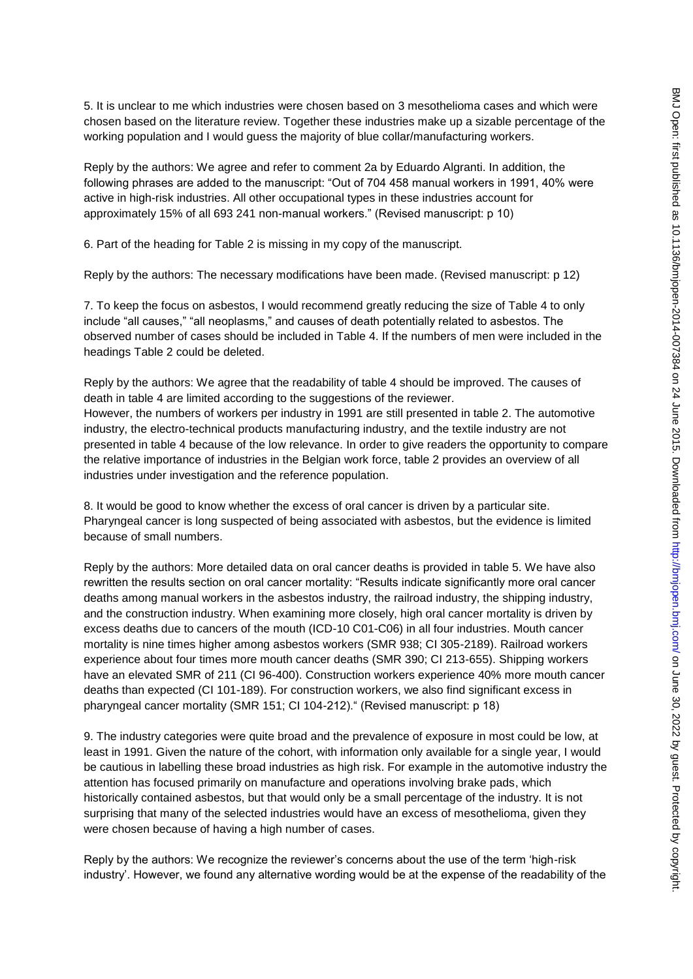5. It is unclear to me which industries were chosen based on 3 mesothelioma cases and which were chosen based on the literature review. Together these industries make up a sizable percentage of the working population and I would guess the majority of blue collar/manufacturing workers.

Reply by the authors: We agree and refer to comment 2a by Eduardo Algranti. In addition, the following phrases are added to the manuscript: "Out of 704 458 manual workers in 1991, 40% were active in high-risk industries. All other occupational types in these industries account for approximately 15% of all 693 241 non-manual workers." (Revised manuscript: p 10)

6. Part of the heading for Table 2 is missing in my copy of the manuscript.

Reply by the authors: The necessary modifications have been made. (Revised manuscript: p 12)

7. To keep the focus on asbestos, I would recommend greatly reducing the size of Table 4 to only include "all causes," "all neoplasms," and causes of death potentially related to asbestos. The observed number of cases should be included in Table 4. If the numbers of men were included in the headings Table 2 could be deleted.

Reply by the authors: We agree that the readability of table 4 should be improved. The causes of death in table 4 are limited according to the suggestions of the reviewer. However, the numbers of workers per industry in 1991 are still presented in table 2. The automotive industry, the electro-technical products manufacturing industry, and the textile industry are not presented in table 4 because of the low relevance. In order to give readers the opportunity to compare the relative importance of industries in the Belgian work force, table 2 provides an overview of all industries under investigation and the reference population.

8. It would be good to know whether the excess of oral cancer is driven by a particular site. Pharyngeal cancer is long suspected of being associated with asbestos, but the evidence is limited because of small numbers.

Reply by the authors: More detailed data on oral cancer deaths is provided in table 5. We have also rewritten the results section on oral cancer mortality: "Results indicate significantly more oral cancer deaths among manual workers in the asbestos industry, the railroad industry, the shipping industry, and the construction industry. When examining more closely, high oral cancer mortality is driven by excess deaths due to cancers of the mouth (ICD-10 C01-C06) in all four industries. Mouth cancer mortality is nine times higher among asbestos workers (SMR 938; CI 305-2189). Railroad workers experience about four times more mouth cancer deaths (SMR 390; CI 213-655). Shipping workers have an elevated SMR of 211 (CI 96-400). Construction workers experience 40% more mouth cancer deaths than expected (CI 101-189). For construction workers, we also find significant excess in pharyngeal cancer mortality (SMR 151; CI 104-212)." (Revised manuscript: p 18)

9. The industry categories were quite broad and the prevalence of exposure in most could be low, at least in 1991. Given the nature of the cohort, with information only available for a single year, I would be cautious in labelling these broad industries as high risk. For example in the automotive industry the attention has focused primarily on manufacture and operations involving brake pads, which historically contained asbestos, but that would only be a small percentage of the industry. It is not surprising that many of the selected industries would have an excess of mesothelioma, given they were chosen because of having a high number of cases.

Reply by the authors: We recognize the reviewer's concerns about the use of the term 'high-risk industry'. However, we found any alternative wording would be at the expense of the readability of the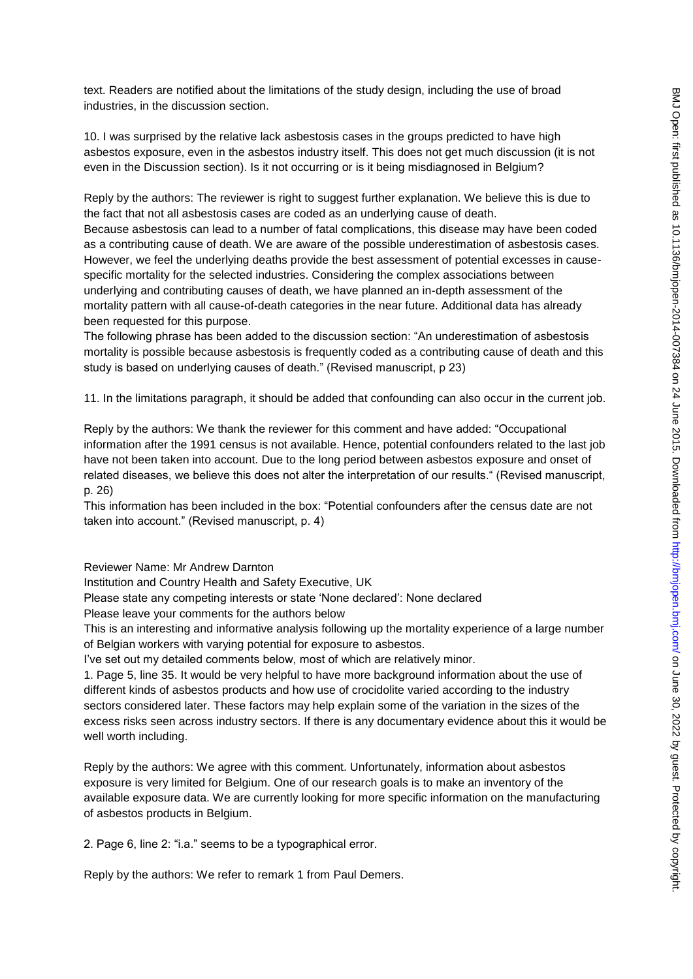text. Readers are notified about the limitations of the study design, including the use of broad industries, in the discussion section.

10. I was surprised by the relative lack asbestosis cases in the groups predicted to have high asbestos exposure, even in the asbestos industry itself. This does not get much discussion (it is not even in the Discussion section). Is it not occurring or is it being misdiagnosed in Belgium?

Reply by the authors: The reviewer is right to suggest further explanation. We believe this is due to the fact that not all asbestosis cases are coded as an underlying cause of death. Because asbestosis can lead to a number of fatal complications, this disease may have been coded as a contributing cause of death. We are aware of the possible underestimation of asbestosis cases. However, we feel the underlying deaths provide the best assessment of potential excesses in causespecific mortality for the selected industries. Considering the complex associations between underlying and contributing causes of death, we have planned an in-depth assessment of the mortality pattern with all cause-of-death categories in the near future. Additional data has already been requested for this purpose.

The following phrase has been added to the discussion section: "An underestimation of asbestosis mortality is possible because asbestosis is frequently coded as a contributing cause of death and this study is based on underlying causes of death." (Revised manuscript, p 23)

11. In the limitations paragraph, it should be added that confounding can also occur in the current job.

Reply by the authors: We thank the reviewer for this comment and have added: "Occupational information after the 1991 census is not available. Hence, potential confounders related to the last job have not been taken into account. Due to the long period between asbestos exposure and onset of related diseases, we believe this does not alter the interpretation of our results." (Revised manuscript, p. 26)

This information has been included in the box: "Potential confounders after the census date are not taken into account." (Revised manuscript, p. 4)

Reviewer Name: Mr Andrew Darnton

Institution and Country Health and Safety Executive, UK

Please state any competing interests or state 'None declared': None declared

Please leave your comments for the authors below

This is an interesting and informative analysis following up the mortality experience of a large number of Belgian workers with varying potential for exposure to asbestos.

I've set out my detailed comments below, most of which are relatively minor.

1. Page 5, line 35. It would be very helpful to have more background information about the use of different kinds of asbestos products and how use of crocidolite varied according to the industry sectors considered later. These factors may help explain some of the variation in the sizes of the excess risks seen across industry sectors. If there is any documentary evidence about this it would be well worth including.

Reply by the authors: We agree with this comment. Unfortunately, information about asbestos exposure is very limited for Belgium. One of our research goals is to make an inventory of the available exposure data. We are currently looking for more specific information on the manufacturing of asbestos products in Belgium.

2. Page 6, line 2: "i.a." seems to be a typographical error.

Reply by the authors: We refer to remark 1 from Paul Demers.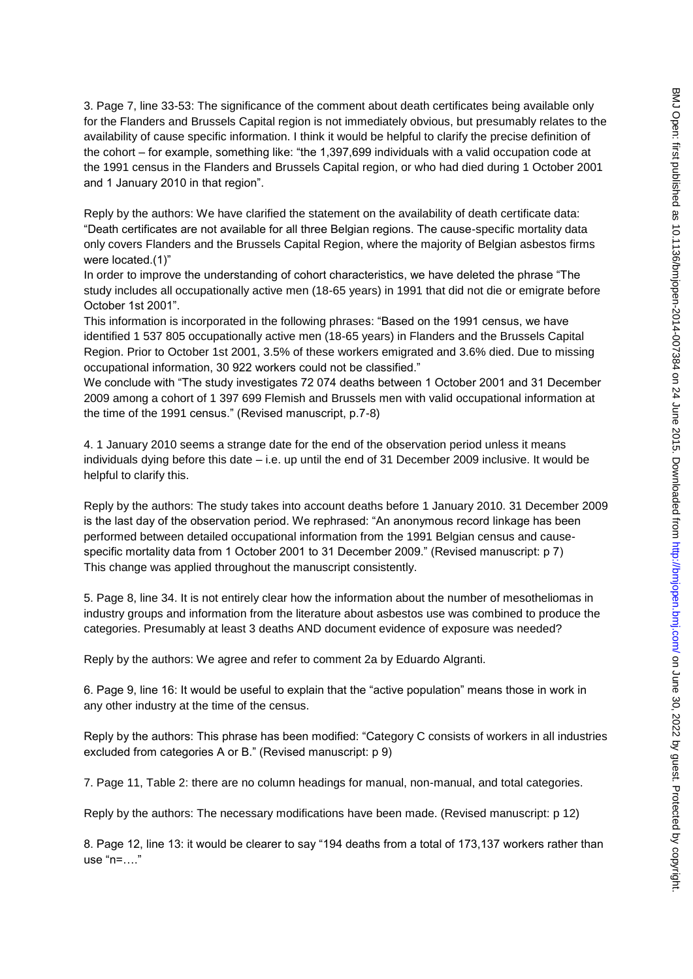3. Page 7, line 33-53: The significance of the comment about death certificates being available only for the Flanders and Brussels Capital region is not immediately obvious, but presumably relates to the availability of cause specific information. I think it would be helpful to clarify the precise definition of the cohort – for example, something like: "the 1,397,699 individuals with a valid occupation code at the 1991 census in the Flanders and Brussels Capital region, or who had died during 1 October 2001 and 1 January 2010 in that region".

Reply by the authors: We have clarified the statement on the availability of death certificate data: "Death certificates are not available for all three Belgian regions. The cause-specific mortality data only covers Flanders and the Brussels Capital Region, where the majority of Belgian asbestos firms were located.(1)"

In order to improve the understanding of cohort characteristics, we have deleted the phrase "The study includes all occupationally active men (18-65 years) in 1991 that did not die or emigrate before October 1st 2001".

This information is incorporated in the following phrases: "Based on the 1991 census, we have identified 1 537 805 occupationally active men (18-65 years) in Flanders and the Brussels Capital Region. Prior to October 1st 2001, 3.5% of these workers emigrated and 3.6% died. Due to missing occupational information, 30 922 workers could not be classified."

We conclude with "The study investigates 72 074 deaths between 1 October 2001 and 31 December 2009 among a cohort of 1 397 699 Flemish and Brussels men with valid occupational information at the time of the 1991 census." (Revised manuscript, p.7-8)

4. 1 January 2010 seems a strange date for the end of the observation period unless it means individuals dying before this date – i.e. up until the end of 31 December 2009 inclusive. It would be helpful to clarify this.

Reply by the authors: The study takes into account deaths before 1 January 2010. 31 December 2009 is the last day of the observation period. We rephrased: "An anonymous record linkage has been performed between detailed occupational information from the 1991 Belgian census and causespecific mortality data from 1 October 2001 to 31 December 2009." (Revised manuscript: p 7) This change was applied throughout the manuscript consistently.

5. Page 8, line 34. It is not entirely clear how the information about the number of mesotheliomas in industry groups and information from the literature about asbestos use was combined to produce the categories. Presumably at least 3 deaths AND document evidence of exposure was needed?

Reply by the authors: We agree and refer to comment 2a by Eduardo Algranti.

6. Page 9, line 16: It would be useful to explain that the "active population" means those in work in any other industry at the time of the census.

Reply by the authors: This phrase has been modified: "Category C consists of workers in all industries excluded from categories A or B." (Revised manuscript: p 9)

7. Page 11, Table 2: there are no column headings for manual, non-manual, and total categories.

Reply by the authors: The necessary modifications have been made. (Revised manuscript: p 12)

8. Page 12, line 13: it would be clearer to say "194 deaths from a total of 173,137 workers rather than use "n=…."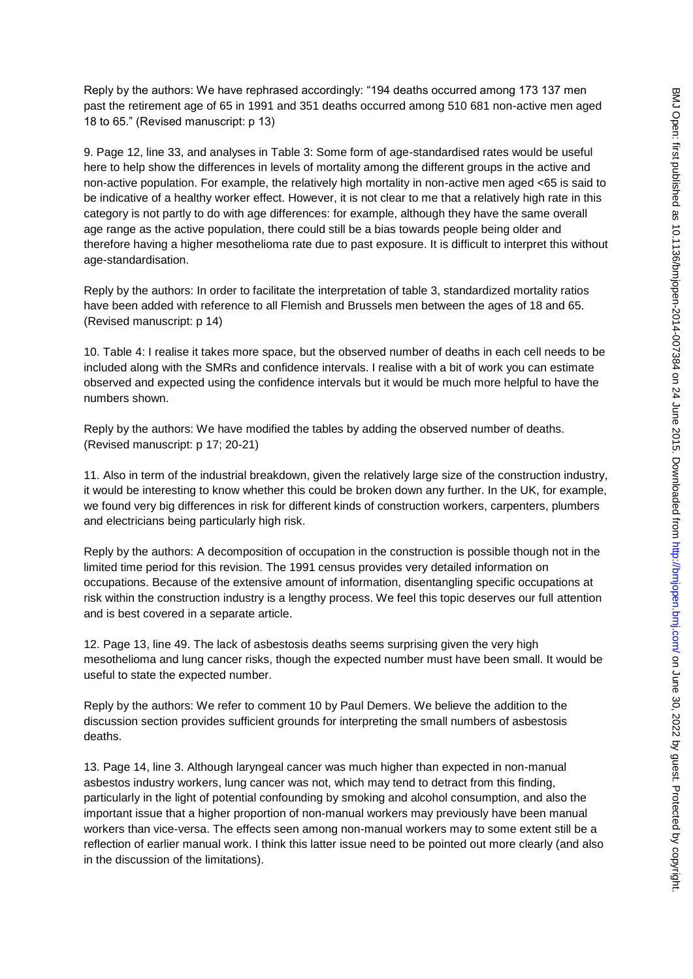Reply by the authors: We have rephrased accordingly: "194 deaths occurred among 173 137 men past the retirement age of 65 in 1991 and 351 deaths occurred among 510 681 non-active men aged 18 to 65." (Revised manuscript: p 13)

9. Page 12, line 33, and analyses in Table 3: Some form of age-standardised rates would be useful here to help show the differences in levels of mortality among the different groups in the active and non-active population. For example, the relatively high mortality in non-active men aged <65 is said to be indicative of a healthy worker effect. However, it is not clear to me that a relatively high rate in this category is not partly to do with age differences: for example, although they have the same overall age range as the active population, there could still be a bias towards people being older and therefore having a higher mesothelioma rate due to past exposure. It is difficult to interpret this without age-standardisation.

Reply by the authors: In order to facilitate the interpretation of table 3, standardized mortality ratios have been added with reference to all Flemish and Brussels men between the ages of 18 and 65. (Revised manuscript: p 14)

10. Table 4: I realise it takes more space, but the observed number of deaths in each cell needs to be included along with the SMRs and confidence intervals. I realise with a bit of work you can estimate observed and expected using the confidence intervals but it would be much more helpful to have the numbers shown.

Reply by the authors: We have modified the tables by adding the observed number of deaths. (Revised manuscript: p 17; 20-21)

11. Also in term of the industrial breakdown, given the relatively large size of the construction industry, it would be interesting to know whether this could be broken down any further. In the UK, for example, we found very big differences in risk for different kinds of construction workers, carpenters, plumbers and electricians being particularly high risk.

Reply by the authors: A decomposition of occupation in the construction is possible though not in the limited time period for this revision. The 1991 census provides very detailed information on occupations. Because of the extensive amount of information, disentangling specific occupations at risk within the construction industry is a lengthy process. We feel this topic deserves our full attention and is best covered in a separate article.

12. Page 13, line 49. The lack of asbestosis deaths seems surprising given the very high mesothelioma and lung cancer risks, though the expected number must have been small. It would be useful to state the expected number.

Reply by the authors: We refer to comment 10 by Paul Demers. We believe the addition to the discussion section provides sufficient grounds for interpreting the small numbers of asbestosis deaths.

13. Page 14, line 3. Although laryngeal cancer was much higher than expected in non-manual asbestos industry workers, lung cancer was not, which may tend to detract from this finding, particularly in the light of potential confounding by smoking and alcohol consumption, and also the important issue that a higher proportion of non-manual workers may previously have been manual workers than vice-versa. The effects seen among non-manual workers may to some extent still be a reflection of earlier manual work. I think this latter issue need to be pointed out more clearly (and also in the discussion of the limitations).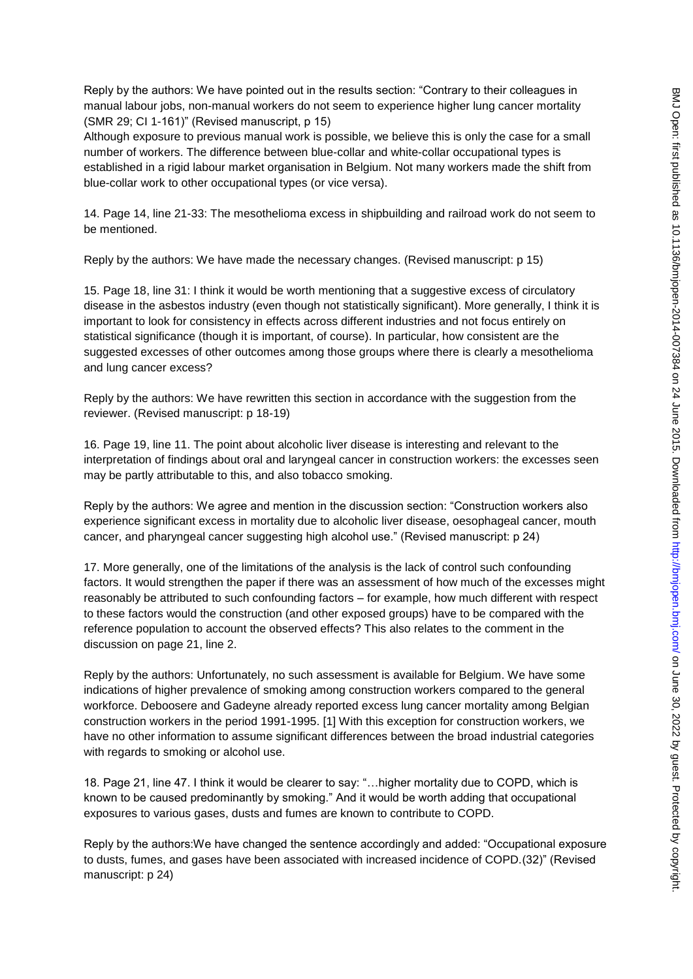Reply by the authors: We have pointed out in the results section: "Contrary to their colleagues in manual labour jobs, non-manual workers do not seem to experience higher lung cancer mortality (SMR 29; CI 1-161)" (Revised manuscript, p 15)

Although exposure to previous manual work is possible, we believe this is only the case for a small number of workers. The difference between blue-collar and white-collar occupational types is established in a rigid labour market organisation in Belgium. Not many workers made the shift from blue-collar work to other occupational types (or vice versa).

14. Page 14, line 21-33: The mesothelioma excess in shipbuilding and railroad work do not seem to be mentioned.

Reply by the authors: We have made the necessary changes. (Revised manuscript: p 15)

15. Page 18, line 31: I think it would be worth mentioning that a suggestive excess of circulatory disease in the asbestos industry (even though not statistically significant). More generally, I think it is important to look for consistency in effects across different industries and not focus entirely on statistical significance (though it is important, of course). In particular, how consistent are the suggested excesses of other outcomes among those groups where there is clearly a mesothelioma and lung cancer excess?

Reply by the authors: We have rewritten this section in accordance with the suggestion from the reviewer. (Revised manuscript: p 18-19)

16. Page 19, line 11. The point about alcoholic liver disease is interesting and relevant to the interpretation of findings about oral and laryngeal cancer in construction workers: the excesses seen may be partly attributable to this, and also tobacco smoking.

Reply by the authors: We agree and mention in the discussion section: "Construction workers also experience significant excess in mortality due to alcoholic liver disease, oesophageal cancer, mouth cancer, and pharyngeal cancer suggesting high alcohol use." (Revised manuscript: p 24)

17. More generally, one of the limitations of the analysis is the lack of control such confounding factors. It would strengthen the paper if there was an assessment of how much of the excesses might reasonably be attributed to such confounding factors – for example, how much different with respect to these factors would the construction (and other exposed groups) have to be compared with the reference population to account the observed effects? This also relates to the comment in the discussion on page 21, line 2.

Reply by the authors: Unfortunately, no such assessment is available for Belgium. We have some indications of higher prevalence of smoking among construction workers compared to the general workforce. Deboosere and Gadeyne already reported excess lung cancer mortality among Belgian construction workers in the period 1991-1995. [1] With this exception for construction workers, we have no other information to assume significant differences between the broad industrial categories with regards to smoking or alcohol use.

18. Page 21, line 47. I think it would be clearer to say: "…higher mortality due to COPD, which is known to be caused predominantly by smoking." And it would be worth adding that occupational exposures to various gases, dusts and fumes are known to contribute to COPD.

Reply by the authors:We have changed the sentence accordingly and added: "Occupational exposure to dusts, fumes, and gases have been associated with increased incidence of COPD.(32)" (Revised manuscript: p 24)